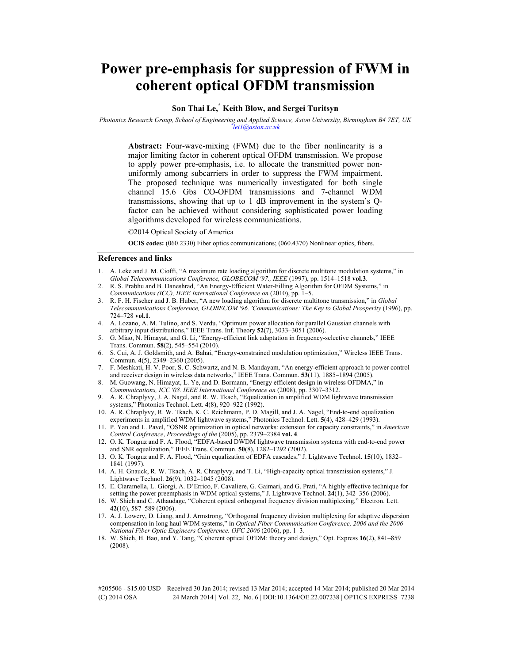# **Power pre-emphasis for suppression of FWM in coherent optical OFDM transmission**

## **Son Thai Le,\* Keith Blow, and Sergei Turitsyn**

*Photonics Research Group, School of Engineering and Applied Science, Aston University, Birmingham B4 7ET, UK \* let1@aston.ac.uk* 

**Abstract:** Four-wave-mixing (FWM) due to the fiber nonlinearity is a major limiting factor in coherent optical OFDM transmission. We propose to apply power pre-emphasis, i.e. to allocate the transmitted power nonuniformly among subcarriers in order to suppress the FWM impairment. The proposed technique was numerically investigated for both single channel 15.6 Gbs CO-OFDM transmissions and 7-channel WDM transmissions, showing that up to 1 dB improvement in the system's Qfactor can be achieved without considering sophisticated power loading algorithms developed for wireless communications.

©2014 Optical Society of America

**OCIS codes:** (060.2330) Fiber optics communications; (060.4370) Nonlinear optics, fibers.

#### **References and links**

- 1. A. Leke and J. M. Cioffi, "A maximum rate loading algorithm for discrete multitone modulation systems," in *Global Telecommunications Conference, GLOBECOM '97., IEEE* (1997), pp. 1514–1518 **vol.3**.
- 2. R. S. Prabhu and B. Daneshrad, "An Energy-Efficient Water-Filling Algorithm for OFDM Systems," in *Communications (ICC), IEEE International Conference on* (2010), pp. 1–5.
- 3. R. F. H. Fischer and J. B. Huber, "A new loading algorithm for discrete multitone transmission," in *Global Telecommunications Conference, GLOBECOM '96. 'Communications: The Key to Global Prosperity* (1996), pp. 724–728 **vol.1**.
- 4. A. Lozano, A. M. Tulino, and S. Verdu, "Optimum power allocation for parallel Gaussian channels with arbitrary input distributions," IEEE Trans. Inf. Theory **52**(7), 3033–3051 (2006).
- 5. G. Miao, N. Himayat, and G. Li, "Energy-efficient link adaptation in frequency-selective channels," IEEE Trans. Commun. **58**(2), 545–554 (2010).
- 6. S. Cui, A. J. Goldsmith, and A. Bahai, "Energy-constrained modulation optimization," Wireless IEEE Trans. Commun. **4**(5), 2349–2360 (2005).
- 7. F. Meshkati, H. V. Poor, S. C. Schwartz, and N. B. Mandayam, "An energy-efficient approach to power control and receiver design in wireless data networks," IEEE Trans. Commun. **53**(11), 1885–1894 (2005).
- 8. M. Guowang, N. Himayat, L. Ye, and D. Bormann, "Energy efficient design in wireless OFDMA," in *Communications, ICC '08. IEEE International Conference on* (2008), pp. 3307–3312.
- 9. A. R. Chraplyvy, J. A. Nagel, and R. W. Tkach, "Equalization in amplified WDM lightwave transmission systems," Photonics Technol. Lett. **4**(8), 920–922 (1992).
- 10. A. R. Chraplyvy, R. W. Tkach, K. C. Reichmann, P. D. Magill, and J. A. Nagel, "End-to-end equalization experiments in amplified WDM lightwave systems," Photonics Technol. Lett. **5**(4), 428–429 (1993).
- 11. P. Yan and L. Pavel, "OSNR optimization in optical networks: extension for capacity constraints," in *American Control Conference*, *Proceedings of the* (2005), pp. 2379–2384 **vol. 4**.
- 12. O. K. Tonguz and F. A. Flood, "EDFA-based DWDM lightwave transmission systems with end-to-end power and SNR equalization," IEEE Trans. Commun. **50**(8), 1282–1292 (2002).
- 13. O. K. Tonguz and F. A. Flood, "Gain equalization of EDFA cascades," J. Lightwave Technol. **15**(10), 1832– 1841 (1997).
- 14. A. H. Gnauck, R. W. Tkach, A. R. Chraplyvy, and T. Li, "High-capacity optical transmission systems," J. Lightwave Technol. **26**(9), 1032–1045 (2008).
- 15. E. Ciaramella, L. Giorgi, A. D'Errico, F. Cavaliere, G. Gaimari, and G. Prati, "A highly effective technique for setting the power preemphasis in WDM optical systems," J. Lightwave Technol. **24**(1), 342–356 (2006).
- 16. W. Shieh and C. Athaudage, "Coherent optical orthogonal frequency division multiplexing," Electron. Lett. **42**(10), 587–589 (2006).
- 17. A. J. Lowery, D. Liang, and J. Armstrong, "Orthogonal frequency division multiplexing for adaptive dispersion compensation in long haul WDM systems," in *Optical Fiber Communication Conference, 2006 and the 2006 National Fiber Optic Engineers Conference. OFC 2006* (2006), pp. 1–3.
- 18. W. Shieh, H. Bao, and Y. Tang, "Coherent optical OFDM: theory and design," Opt. Express **16**(2), 841–859 (2008).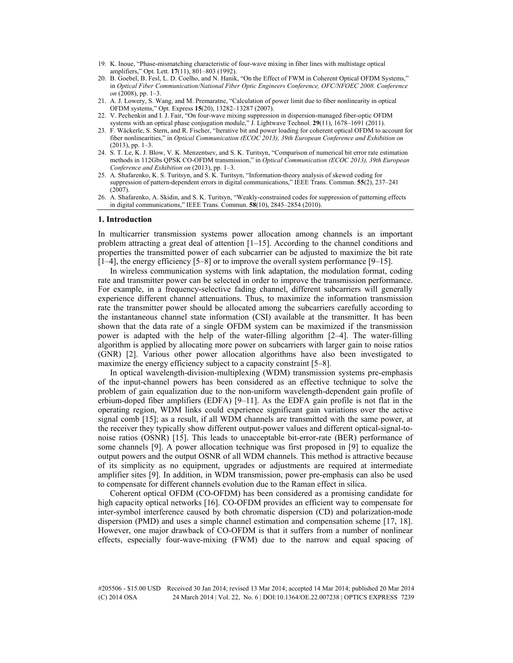- 19. K. Inoue, "Phase-mismatching characteristic of four-wave mixing in fiber lines with multistage optical amplifiers," Opt. Lett. **17**(11), 801–803 (1992).
- 20. B. Goebel, B. Fesl, L. D. Coelho, and N. Hanik, "On the Effect of FWM in Coherent Optical OFDM Systems," in *Optical Fiber Communication/National Fiber Optic Engineers Conference, OFC/NFOEC 2008. Conference on* (2008), pp. 1–3.
- 21. A. J. Lowery, S. Wang, and M. Premaratne, "Calculation of power limit due to fiber nonlinearity in optical OFDM systems," Opt. Express **15**(20), 13282–13287 (2007).
- 22. V. Pechenkin and I. J. Fair, "On four-wave mixing suppression in dispersion-managed fiber-optic OFDM systems with an optical phase conjugation module," J. Lightwave Technol. **29**(11), 1678–1691 (2011).
- 23. F. Wäckerle, S. Stern, and R. Fischer, "Iterative bit and power loading for coherent optical OFDM to account for fiber nonlinearities," in *Optical Communication (ECOC 2013), 39th European Conference and Exhibition on*  $(2013)$ , pp.  $1-3$ .
- 24. S. T. Le, K. J. Blow, V. K. Menzentsev, and S. K. Turitsyn, "Comparison of numerical bit error rate estimation methods in 112Gbs QPSK CO-OFDM transmission," in *Optical Communication (ECOC 2013), 39th European Conference and Exhibition on* (2013), pp. 1–3.
- 25. A. Shafarenko, K. S. Turitsyn, and S. K. Turitsyn, "Information-theory analysis of skewed coding for suppression of pattern-dependent errors in digital communications," IEEE Trans. Commun. **55**(2), 237–241  $(2007)$
- 26. A. Shafarenko, A. Skidin, and S. K. Turitsyn, "Weakly-constrained codes for suppression of patterning effects in digital communications," IEEE Trans. Commun. **58**(10), 2845–2854 (2010).

#### **1. Introduction**

In multicarrier transmission systems power allocation among channels is an important problem attracting a great deal of attention  $[1-15]$ . According to the channel conditions and properties the transmitted power of each subcarrier can be adjusted to maximize the bit rate [1–4], the energy efficiency [5–8] or to improve the overall system performance [9–15].

In wireless communication systems with link adaptation, the modulation format, coding rate and transmitter power can be selected in order to improve the transmission performance. For example, in a frequency-selective fading channel, different subcarriers will generally experience different channel attenuations. Thus, to maximize the information transmission rate the transmitter power should be allocated among the subcarriers carefully according to the instantaneous channel state information (CSI) available at the transmitter. It has been shown that the data rate of a single OFDM system can be maximized if the transmission power is adapted with the help of the water-filling algorithm [2–4]. The water-filling algorithm is applied by allocating more power on subcarriers with larger gain to noise ratios (GNR) [2]. Various other power allocation algorithms have also been investigated to maximize the energy efficiency subject to a capacity constraint [5–8].

In optical wavelength-division-multiplexing (WDM) transmission systems pre-emphasis of the input-channel powers has been considered as an effective technique to solve the problem of gain equalization due to the non-uniform wavelength-dependent gain profile of erbium-doped fiber amplifiers (EDFA) [9–11]. As the EDFA gain profile is not flat in the operating region, WDM links could experience significant gain variations over the active signal comb [15]; as a result, if all WDM channels are transmitted with the same power, at the receiver they typically show different output-power values and different optical-signal-tonoise ratios (OSNR) [15]. This leads to unacceptable bit-error-rate (BER) performance of some channels [9]. A power allocation technique was first proposed in [9] to equalize the output powers and the output OSNR of all WDM channels. This method is attractive because of its simplicity as no equipment, upgrades or adjustments are required at intermediate amplifier sites [9]. In addition, in WDM transmission, power pre-emphasis can also be used to compensate for different channels evolution due to the Raman effect in silica.

Coherent optical OFDM (CO-OFDM) has been considered as a promising candidate for high capacity optical networks [16]. CO-OFDM provides an efficient way to compensate for inter-symbol interference caused by both chromatic dispersion (CD) and polarization-mode dispersion (PMD) and uses a simple channel estimation and compensation scheme [17, 18]. However, one major drawback of CO-OFDM is that it suffers from a number of nonlinear effects, especially four-wave-mixing (FWM) due to the narrow and equal spacing of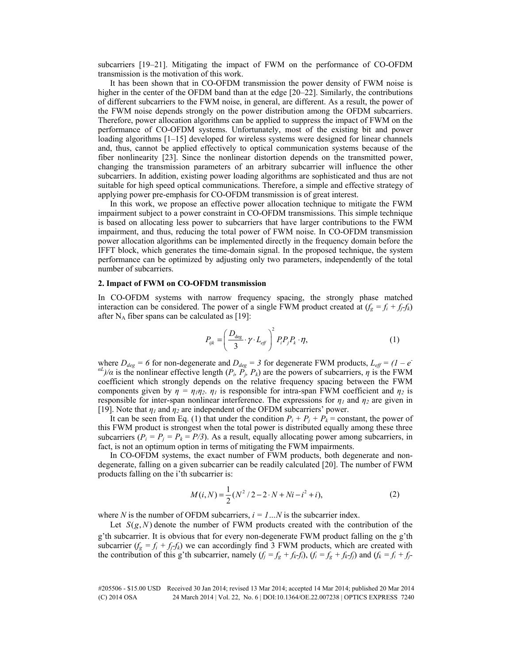subcarriers [19–21]. Mitigating the impact of FWM on the performance of CO-OFDM transmission is the motivation of this work.

It has been shown that in CO-OFDM transmission the power density of FWM noise is higher in the center of the OFDM band than at the edge [20–22]. Similarly, the contributions of different subcarriers to the FWM noise, in general, are different. As a result, the power of the FWM noise depends strongly on the power distribution among the OFDM subcarriers. Therefore, power allocation algorithms can be applied to suppress the impact of FWM on the performance of CO-OFDM systems. Unfortunately, most of the existing bit and power loading algorithms [1–15] developed for wireless systems were designed for linear channels and, thus, cannot be applied effectively to optical communication systems because of the fiber nonlinearity [23]. Since the nonlinear distortion depends on the transmitted power, changing the transmission parameters of an arbitrary subcarrier will influence the other subcarriers. In addition, existing power loading algorithms are sophisticated and thus are not suitable for high speed optical communications. Therefore, a simple and effective strategy of applying power pre-emphasis for CO-OFDM transmission is of great interest.

In this work, we propose an effective power allocation technique to mitigate the FWM impairment subject to a power constraint in CO-OFDM transmissions. This simple technique is based on allocating less power to subcarriers that have larger contributions to the FWM impairment, and thus, reducing the total power of FWM noise. In CO-OFDM transmission power allocation algorithms can be implemented directly in the frequency domain before the IFFT block, which generates the time-domain signal. In the proposed technique, the system performance can be optimized by adjusting only two parameters, independently of the total number of subcarriers.

#### **2. Impact of FWM on CO-OFDM transmission**

In CO-OFDM systems with narrow frequency spacing, the strongly phase matched interaction can be considered. The power of a single FWM product created at  $(f_g = f_i + f_j f_k)$ after  $N_A$  fiber spans can be calculated as [19]:

$$
P_{ijk} = \left(\frac{D_{\text{deg}}}{3} \cdot \gamma \cdot L_{\text{eff}}\right)^2 P_i P_j P_k \cdot \eta,
$$
\n(1)

where  $D_{deg} = 6$  for non-degenerate and  $D_{deg} = 3$  for degenerate FWM products,  $L_{eff} = (1 - e^{-\frac{1}{2}})$  $aL/\alpha$  is the nonlinear effective length ( $P_i$ ,  $P_j$ ,  $P_k$ ) are the powers of subcarriers, *η* is the FWM coefficient which strongly depends on the relative frequency spacing between the FWM components given by  $\eta = \eta_1 \eta_2$ .  $\eta_1$  is responsible for intra-span FWM coefficient and  $\eta_2$  is responsible for inter-span nonlinear interference. The expressions for  $\eta_1$  and  $\eta_2$  are given in [19]. Note that  $\eta_1$  and  $\eta_2$  are independent of the OFDM subcarriers' power.

It can be seen from Eq. (1) that under the condition  $P_i + P_j + P_k$  = constant, the power of this FWM product is strongest when the total power is distributed equally among these three subcarriers  $(P_i = P_j = P_k = P/3)$ . As a result, equally allocating power among subcarriers, in fact, is not an optimum option in terms of mitigating the FWM impairments.

In CO-OFDM systems, the exact number of FWM products, both degenerate and nondegenerate, falling on a given subcarrier can be readily calculated [20]. The number of FWM products falling on the i'th subcarrier is:

$$
M(i, N) = \frac{1}{2}(N^2/2 - 2 \cdot N + Ni - i^2 + i),
$$
 (2)

where *N* is the number of OFDM subcarriers,  $i = 1...N$  is the subcarrier index.

Let  $S(g, N)$  denote the number of FWM products created with the contribution of the g'th subcarrier. It is obvious that for every non-degenerate FWM product falling on the g'th subcarrier  $(f_g = f_i + f_j - f_k)$  we can accordingly find 3 FWM products, which are created with the contribution of this g'th subcarrier, namely  $(f_j = f_g + f_k - f_i)$ ,  $(f_i = f_g + f_k - f_j)$  and  $(f_k = f_i + f_j - f_k)$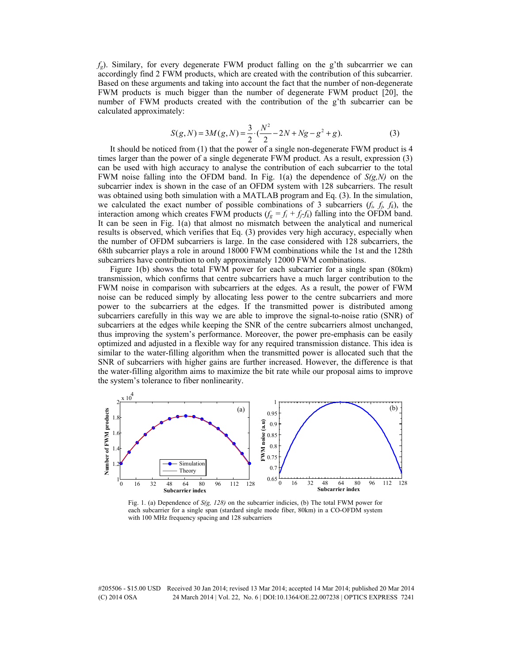$f_g$ ). Similary, for every degenerate FWM product falling on the g'th subcarrrier we can accordingly find 2 FWM products, which are created with the contribution of this subcarrier. Based on these arguments and taking into account the fact that the number of non-degenerate FWM products is much bigger than the number of degenerate FWM product [20], the number of FWM products created with the contribution of the g'th subcarrier can be calculated approximately:

$$
S(g, N) = 3M(g, N) = \frac{3}{2} \cdot (\frac{N^2}{2} - 2N + Ng - g^2 + g).
$$
 (3)

It should be noticed from (1) that the power of a single non-degenerate FWM product is 4 times larger than the power of a single degenerate FWM product. As a result, expression (3) can be used with high accuracy to analyse the contribution of each subcarrier to the total FWM noise falling into the OFDM band. In Fig. 1(a) the dependence of *S(g,N)* on the subcarrier index is shown in the case of an OFDM system with 128 subcarriers. The result was obtained using both simulation with a MATLAB program and Eq. (3). In the simulation, we calculated the exact number of possible combinations of 3 subcarriers  $(f_i, f_j, f_k)$ , the interaction among which creates FWM products  $(f_g = f_i + f_j f_k)$  falling into the OFDM band. It can be seen in Fig. 1(a) that almost no mismatch between the analytical and numerical results is observed, which verifies that Eq. (3) provides very high accuracy, especially when the number of OFDM subcarriers is large. In the case considered with 128 subcarriers, the 68th subcarrier plays a role in around 18000 FWM combinations while the 1st and the 128th subcarriers have contribution to only approximately 12000 FWM combinations.

Figure 1(b) shows the total FWM power for each subcarrier for a single span (80km) transmission, which confirms that centre subcarriers have a much larger contribution to the FWM noise in comparison with subcarriers at the edges. As a result, the power of FWM noise can be reduced simply by allocating less power to the centre subcarriers and more power to the subcarriers at the edges. If the transmitted power is distributed among subcarriers carefully in this way we are able to improve the signal-to-noise ratio (SNR) of subcarriers at the edges while keeping the SNR of the centre subcarriers almost unchanged, thus improving the system's performance. Moreover, the power pre-emphasis can be easily optimized and adjusted in a flexible way for any required transmission distance. This idea is similar to the water-filling algorithm when the transmitted power is allocated such that the SNR of subcarriers with higher gains are further increased. However, the difference is that the water-filling algorithm aims to maximize the bit rate while our proposal aims to improve the system's tolerance to fiber nonlinearity.



Fig. 1. (a) Dependence of *S(g, 128)* on the subcarrier indicies, (b) The total FWM power for each subcarrier for a single span (stardard single mode fiber, 80km) in a CO-OFDM system with 100 MHz frequency spacing and 128 subcarriers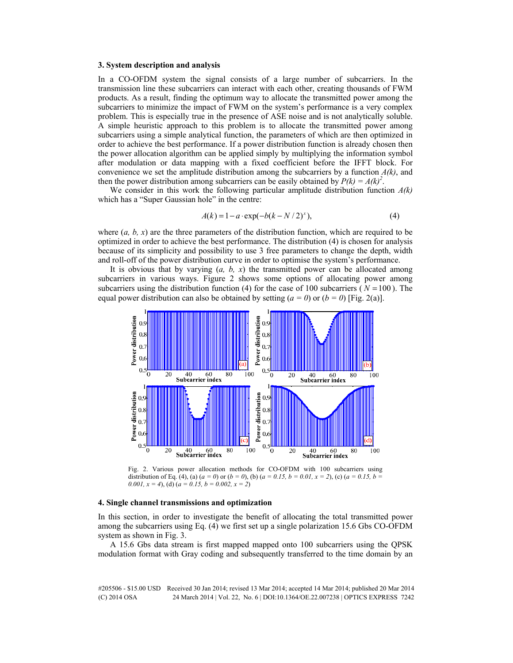#### **3. System description and analysis**

In a CO-OFDM system the signal consists of a large number of subcarriers. In the transmission line these subcarriers can interact with each other, creating thousands of FWM products. As a result, finding the optimum way to allocate the transmitted power among the subcarriers to minimize the impact of FWM on the system's performance is a very complex problem. This is especially true in the presence of ASE noise and is not analytically soluble. A simple heuristic approach to this problem is to allocate the transmitted power among subcarriers using a simple analytical function, the parameters of which are then optimized in order to achieve the best performance. If a power distribution function is already chosen then the power allocation algorithm can be applied simply by multiplying the information symbol after modulation or data mapping with a fixed coefficient before the IFFT block. For convenience we set the amplitude distribution among the subcarriers by a function  $A(k)$ , and then the power distribution among subcarriers can be easily obtained by  $P(k) = A(k)^2$ .

We consider in this work the following particular amplitude distribution function *A(k)* which has a "Super Gaussian hole" in the centre:

$$
A(k) = 1 - a \cdot \exp(-b(k - N/2)^{x}),
$$
 (4)

where (*a, b, x*) are the three parameters of the distribution function, which are required to be optimized in order to achieve the best performance. The distribution (4) is chosen for analysis because of its simplicity and possibility to use 3 free parameters to change the depth, width and roll-off of the power distribution curve in order to optimise the system's performance.

It is obvious that by varying (*a, b, x*) the transmitted power can be allocated among subcarriers in various ways. Figure 2 shows some options of allocating power among subcarriers using the distribution function (4) for the case of 100 subcarriers ( $N = 100$ ). The equal power distribution can also be obtained by setting  $(a = 0)$  or  $(b = 0)$  [Fig. 2(a)].



Fig. 2. Various power allocation methods for CO-OFDM with 100 subcarriers using distribution of Eq. (4), (a)  $(a = 0)$  or  $(b = 0)$ , (b)  $(a = 0.15, b = 0.01, x = 2)$ , (c)  $(a = 0.15, b = 0.01, x = 2)$ *0.001,*  $x = 4$ , (d)  $(a = 0.15, b = 0.002, x = 2)$ 

#### **4. Single channel transmissions and optimization**

In this section, in order to investigate the benefit of allocating the total transmitted power among the subcarriers using Eq. (4) we first set up a single polarization 15.6 Gbs CO-OFDM system as shown in Fig. 3.

A 15.6 Gbs data stream is first mapped mapped onto 100 subcarriers using the QPSK modulation format with Gray coding and subsequently transferred to the time domain by an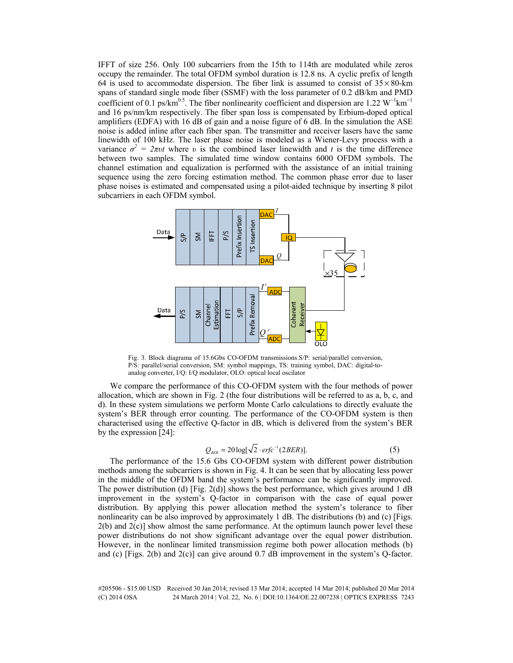IFFT of size 256. Only 100 subcarriers from the 15th to 114th are modulated while zeros occupy the remainder. The total OFDM symbol duration is 12.8 ns. A cyclic prefix of length 64 is used to accommodate dispersion. The fiber link is assumed to consist of  $35 \times 80$ -km spans of standard single mode fiber (SSMF) with the loss parameter of 0.2 dB/km and PMD coefficient of 0.1 ps/km<sup>0.5</sup>. The fiber nonlinearity coefficient and dispersion are 1.22 W<sup>-1</sup>km<sup>-1</sup> and 16 ps/nm/km respectively. The fiber span loss is compensated by Erbium-doped optical amplifiers (EDFA) with 16 dB of gain and a noise figure of 6 dB. In the simulation the ASE noise is added inline after each fiber span. The transmitter and receiver lasers have the same linewidth of 100 kHz. The laser phase noise is modeled as a Wiener-Levy process with a variance  $\sigma^2 = 2\pi vt$  where *v* is the combined laser linewidth and *t* is the time difference between two samples. The simulated time window contains 6000 OFDM symbols. The channel estimation and equalization is performed with the assistance of an initial training sequence using the zero forcing estimation method. The common phase error due to laser phase noises is estimated and compensated using a pilot-aided technique by inserting 8 pilot subcarriers in each OFDM symbol.



Fig. 3. Block diagrama of 15.6Gbs CO-OFDM transmissions.S/P: serial/parallel conversion, P/S: parallel/serial conversion, SM: symbol mappings, TS: training symbol, DAC: digital-toanalog converter, I/Q: I/Q modulator, OLO: optical local oscilator

We compare the performance of this CO-OFDM system with the four methods of power allocation, which are shown in Fig. 2 (the four distributions will be referred to as a, b, c, and d). In these system simulations we perform Monte Carlo calculations to directly evaluate the system's BER through error counting. The performance of the CO-OFDM system is then characterised using the effective Q-factor in dB, which is delivered from the system's BER by the expression [24]:

$$
Q_{BER} = 20 \log[\sqrt{2} \cdot \text{erfc}^{-1}(2BER)]. \tag{5}
$$

The performance of the 15.6 Gbs CO-OFDM system with different power distribution methods among the subcarriers is shown in Fig. 4. It can be seen that by allocating less power in the middle of the OFDM band the system's performance can be significantly improved. The power distribution (d) [Fig. 2(d)] shows the best performance, which gives around 1 dB improvement in the system's Q-factor in comparison with the case of equal power distribution. By applying this power allocation method the system's tolerance to fiber nonlinearity can be also improved by approximately 1 dB. The distributions (b) and (c) [Figs. 2(b) and 2(c)] show almost the same performance. At the optimum launch power level these power distributions do not show significant advantage over the equal power distribution. However, in the nonlinear limited transmission regime both power allocation methods (b) and (c) [Figs. 2(b) and 2(c)] can give around 0.7 dB improvement in the system's Q-factor.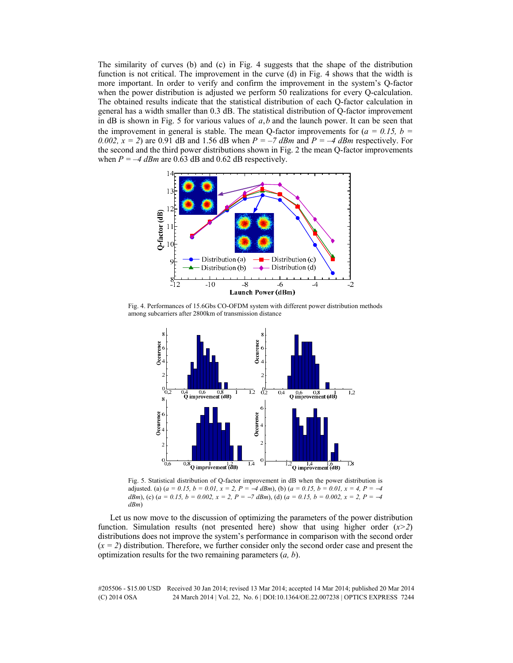The similarity of curves (b) and (c) in Fig. 4 suggests that the shape of the distribution function is not critical. The improvement in the curve (d) in Fig. 4 shows that the width is more important. In order to verify and confirm the improvement in the system's Q-factor when the power distribution is adjusted we perform 50 realizations for every Q-calculation. The obtained results indicate that the statistical distribution of each Q-factor calculation in general has a width smaller than 0.3 dB. The statistical distribution of Q-factor improvement in dB is shown in Fig. 5 for various values of  $a, b$  and the launch power. It can be seen that the improvement in general is stable. The mean Q-factor improvements for  $(a = 0.15, b = 1.5)$ 0.002,  $x = 2$ ) are 0.91 dB and 1.56 dB when  $P = -7$  dBm and  $P = -4$  dBm respectively. For the second and the third power distributions shown in Fig. 2 the mean Q-factor improvements when  $P = -4$  dBm are 0.63 dB and 0.62 dB respectively.



Fig. 4. Performances of 15.6Gbs CO-OFDM system with different power distribution methods among subcarriers after 2800km of transmission distance



Fig. 5. Statistical distribution of Q-factor improvement in dB when the power distribution is adjusted. (a)  $(a = 0.15, b = 0.01, x = 2, P = -4$  *dBm*), (b)  $(a = 0.15, b = 0.01, x = 4, P = -4$ *dBm*), (c) (*a* = 0.15, *b* = 0.002, *x* = 2, *P* = −*7 dBm*), (d) (*a* = 0.15, *b* = 0.002, *x* = 2, *P* = −4 *dBm*)

Let us now move to the discussion of optimizing the parameters of the power distribution function. Simulation results (not presented here) show that using higher order (*x>2*) distributions does not improve the system's performance in comparison with the second order  $(x = 2)$  distribution. Therefore, we further consider only the second order case and present the optimization results for the two remaining parameters (*a, b*).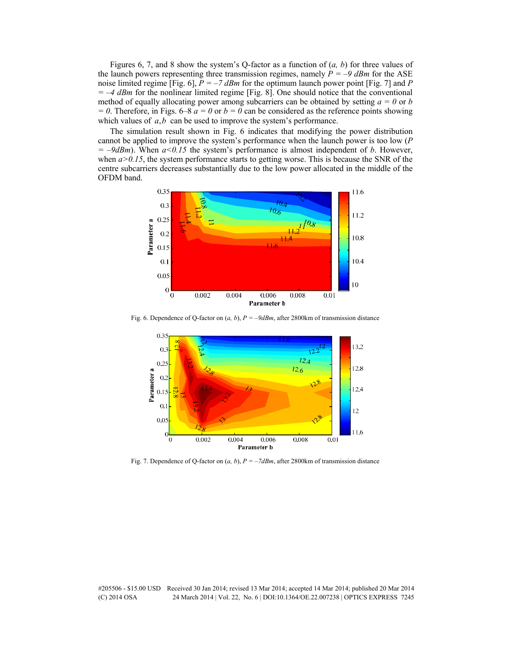Figures 6, 7, and 8 show the system's Q-factor as a function of (*a, b*) for three values of the launch powers representing three transmission regimes, namely  $P = -9$  dBm for the ASE noise limited regime [Fig. 6],  $\bar{P} = -7$  dBm for the optimum launch power point [Fig. 7] and P *=* –*4 dBm* for the nonlinear limited regime [Fig. 8]. One should notice that the conventional method of equally allocating power among subcarriers can be obtained by setting  $a = 0$  or *b*  $= 0$ . Therefore, in Figs. 6–8  $a = 0$  or  $b = 0$  can be considered as the reference points showing which values of  $a, b$  can be used to improve the system's performance.

The simulation result shown in Fig. 6 indicates that modifying the power distribution cannot be applied to improve the system's performance when the launch power is too low (*P =* –*9dBm*). When *a<0.15* the system's performance is almost independent of *b*. However, when  $a > 0.15$ , the system performance starts to getting worse. This is because the SNR of the centre subcarriers decreases substantially due to the low power allocated in the middle of the OFDM band.



Fig. 6. Dependence of Q-factor on (*a, b*), *P = –9dBm*, after 2800km of transmission distance



Fig. 7. Dependence of Q-factor on  $(a, b)$ ,  $P = -7dBm$ , after 2800km of transmission distance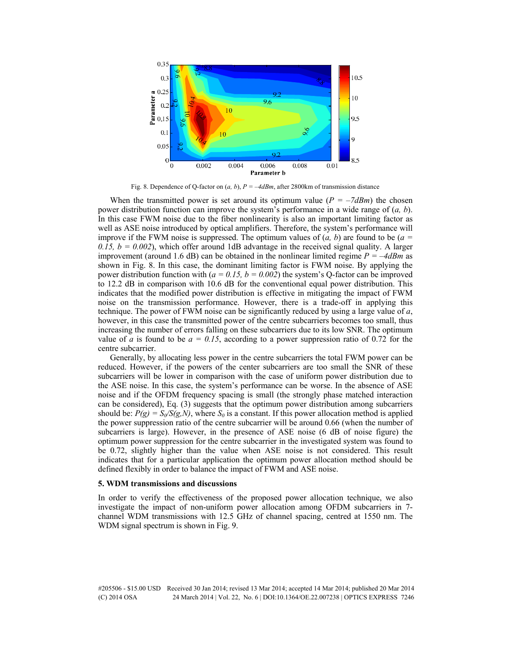

Fig. 8. Dependence of Q-factor on (*a, b*), *P = –4dBm*, after 2800km of transmission distance

When the transmitted power is set around its optimum value  $(P = -7dBm)$  the chosen power distribution function can improve the system's performance in a wide range of (*a, b*). In this case FWM noise due to the fiber nonlinearity is also an important limiting factor as well as ASE noise introduced by optical amplifiers. Therefore, the system's performance will improve if the FWM noise is suppressed. The optimum values of  $(a, b)$  are found to be  $(a =$ 0.15,  $b = 0.002$ ), which offer around 1dB advantage in the received signal quality. A larger improvement (around 1.6 dB) can be obtained in the nonlinear limited regime *P =* –*4dBm* as shown in Fig. 8. In this case, the dominant limiting factor is FWM noise. By applying the power distribution function with ( $a = 0.15$ ,  $b = 0.002$ ) the system's Q-factor can be improved to 12.2 dB in comparison with 10.6 dB for the conventional equal power distribution. This indicates that the modified power distribution is effective in mitigating the impact of FWM noise on the transmission performance. However, there is a trade-off in applying this technique. The power of FWM noise can be significantly reduced by using a large value of *a*, however, in this case the transmitted power of the centre subcarriers becomes too small, thus increasing the number of errors falling on these subcarriers due to its low SNR. The optimum value of *a* is found to be  $a = 0.15$ , according to a power suppression ratio of 0.72 for the centre subcarrier.

Generally, by allocating less power in the centre subcarriers the total FWM power can be reduced. However, if the powers of the center subcarriers are too small the SNR of these subcarriers will be lower in comparison with the case of uniform power distribution due to the ASE noise. In this case, the system's performance can be worse. In the absence of ASE noise and if the OFDM frequency spacing is small (the strongly phase matched interaction can be considered), Eq. (3) suggests that the optimum power distribution among subcarriers should be:  $P(g) = S_0/S(g,N)$ , where  $S_0$  is a constant. If this power allocation method is applied the power suppression ratio of the centre subcarrier will be around 0.66 (when the number of subcarriers is large). However, in the presence of ASE noise (6 dB of noise figure) the optimum power suppression for the centre subcarrier in the investigated system was found to be 0.72, slightly higher than the value when ASE noise is not considered. This result indicates that for a particular application the optimum power allocation method should be defined flexibly in order to balance the impact of FWM and ASE noise.

#### **5. WDM transmissions and discussions**

In order to verify the effectiveness of the proposed power allocation technique, we also investigate the impact of non-uniform power allocation among OFDM subcarriers in 7 channel WDM transmissions with 12.5 GHz of channel spacing, centred at 1550 nm. The WDM signal spectrum is shown in Fig. 9.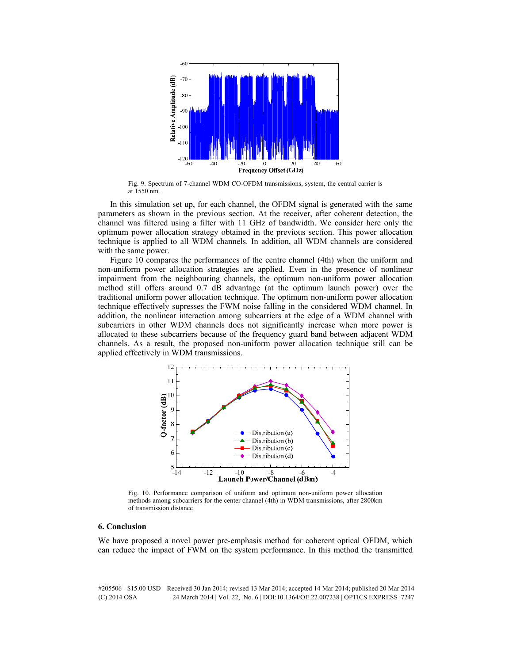

Fig. 9. Spectrum of 7-channel WDM CO-OFDM transmissions, system, the central carrier is at 1550 nm.

In this simulation set up, for each channel, the OFDM signal is generated with the same parameters as shown in the previous section. At the receiver, after coherent detection, the channel was filtered using a filter with 11 GHz of bandwidth. We consider here only the optimum power allocation strategy obtained in the previous section. This power allocation technique is applied to all WDM channels. In addition, all WDM channels are considered with the same power.

Figure 10 compares the performances of the centre channel (4th) when the uniform and non-uniform power allocation strategies are applied. Even in the presence of nonlinear impairment from the neighbouring channels, the optimum non-uniform power allocation method still offers around 0.7 dB advantage (at the optimum launch power) over the traditional uniform power allocation technique. The optimum non-uniform power allocation technique effectively supresses the FWM noise falling in the considered WDM channel. In addition, the nonlinear interaction among subcarriers at the edge of a WDM channel with subcarriers in other WDM channels does not significantly increase when more power is allocated to these subcarriers because of the frequency guard band between adjacent WDM channels. As a result, the proposed non-uniform power allocation technique still can be applied effectively in WDM transmissions.



Fig. 10. Performance comparison of uniform and optimum non-uniform power allocation methods among subcarriers for the center channel (4th) in WDM transmissions, after 2800km of transmission distance

#### **6. Conclusion**

We have proposed a novel power pre-emphasis method for coherent optical OFDM, which can reduce the impact of FWM on the system performance. In this method the transmitted